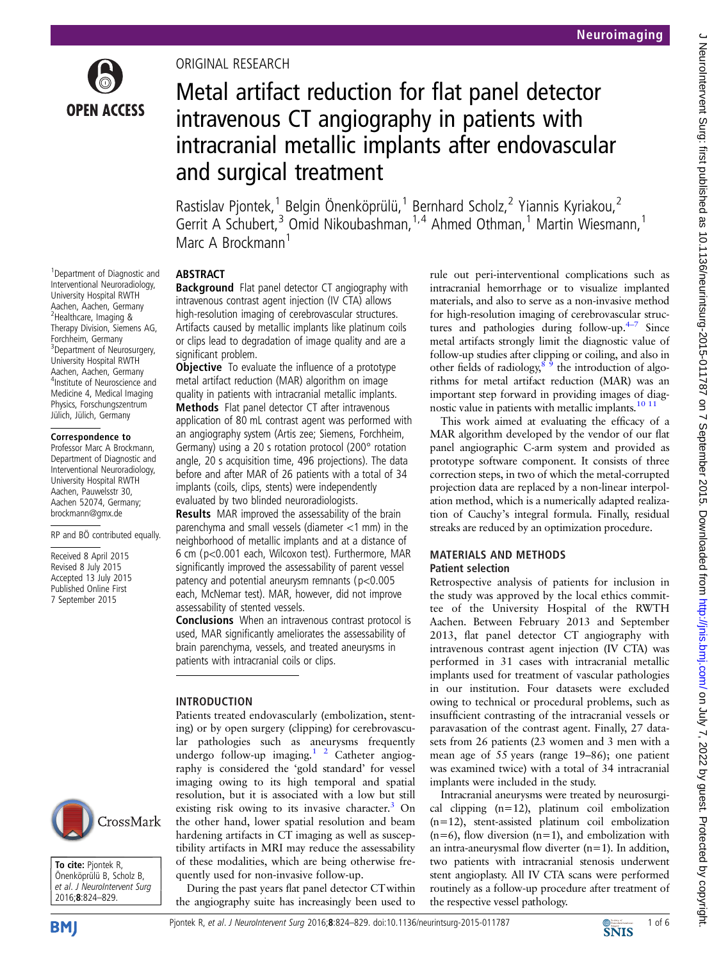

1 Department of Diagnostic and Interventional Neuroradiology, University Hospital RWTH Aachen, Aachen, Germany <sup>2</sup>Healthcare, Imaging & Therapy Division, Siemens AG, Forchheim, Germany <sup>3</sup>Department of Neurosurgery, University Hospital RWTH Aachen, Aachen, Germany 4 Institute of Neuroscience and Medicine 4, Medical Imaging Physics, Forschungszentrum Jülich, Jülich, Germany Correspondence to Professor Marc A Brockmann, Department of Diagnostic and Interventional Neuroradiology, University Hospital RWTH Aachen, Pauwelsstr 30, Aachen 52074, Germany; brockmann@gmx.de

RP and BÖ contributed equally.

Received 8 April 2015 Revised 8 July 2015 Accepted 13 July 2015 Published Online First 7 September 2015

# ORIGINAL RESEARCH

# Metal artifact reduction for flat panel detector intravenous CT angiography in patients with intracranial metallic implants after endovascular and surgical treatment

Rastislav Pjontek,<sup>1</sup> Belgin Önenköprülü,<sup>1</sup> Bernhard Scholz,<sup>2</sup> Yiannis Kyriakou,<sup>2</sup> Gerrit A Schubert,<sup>3</sup> Omid Nikoubashman,<sup>1,4</sup> Ahmed Othman,<sup>1</sup> Martin Wiesmann,<sup>1</sup> Marc A Brockmann<sup>1</sup>

# ABSTRACT

**Background** Flat panel detector CT angiography with intravenous contrast agent injection (IV CTA) allows high-resolution imaging of cerebrovascular structures. Artifacts caused by metallic implants like platinum coils or clips lead to degradation of image quality and are a significant problem.

**Objective** To evaluate the influence of a prototype metal artifact reduction (MAR) algorithm on image quality in patients with intracranial metallic implants. Methods Flat panel detector CT after intravenous application of 80 mL contrast agent was performed with an angiography system (Artis zee; Siemens, Forchheim, Germany) using a 20 s rotation protocol (200° rotation angle, 20 s acquisition time, 496 projections). The data before and after MAR of 26 patients with a total of 34 implants (coils, clips, stents) were independently evaluated by two blinded neuroradiologists.

**Results** MAR improved the assessability of the brain parenchyma and small vessels (diameter <1 mm) in the neighborhood of metallic implants and at a distance of 6 cm (p<0.001 each, Wilcoxon test). Furthermore, MAR significantly improved the assessability of parent vessel patency and potential aneurysm remnants (p<0.005 each, McNemar test). MAR, however, did not improve assessability of stented vessels.

Conclusions When an intravenous contrast protocol is used, MAR significantly ameliorates the assessability of brain parenchyma, vessels, and treated aneurysms in patients with intracranial coils or clips.

# INTRODUCTION

Patients treated endovascularly (embolization, stenting) or by open surgery (clipping) for cerebrovascular pathologies such as aneurysms frequently undergo follow-up imaging.<sup>1</sup> <sup>2</sup> Catheter angiography is considered the 'gold standard' for vessel imaging owing to its high temporal and spatial resolution, but it is associated with a low but still existing risk owing to its invasive character. $3$  On the other hand, lower spatial resolution and beam hardening artifacts in CT imaging as well as susceptibility artifacts in MRI may reduce the assessability of these modalities, which are being otherwise frequently used for non-invasive follow-up.

During the past years flat panel detector CTwithin the angiography suite has increasingly been used to

rule out peri-interventional complications such as intracranial hemorrhage or to visualize implanted materials, and also to serve as a non-invasive method for high-resolution imaging of cerebrovascular structures and pathologies during follow-up. $4-7$  Since metal artifacts strongly limit the diagnostic value of follow-up studies after clipping or coiling, and also in other fields of radiology, $8^9$  the introduction of algorithms for metal artifact reduction (MAR) was an important step forward in providing images of diag-nostic value in patients with metallic implants.<sup>[10 11](#page-5-0)</sup>

This work aimed at evaluating the efficacy of a MAR algorithm developed by the vendor of our flat panel angiographic C-arm system and provided as prototype software component. It consists of three correction steps, in two of which the metal-corrupted projection data are replaced by a non-linear interpolation method, which is a numerically adapted realization of Cauchy's integral formula. Finally, residual streaks are reduced by an optimization procedure.

## MATERIALS AND METHODS Patient selection

Retrospective analysis of patients for inclusion in the study was approved by the local ethics committee of the University Hospital of the RWTH Aachen. Between February 2013 and September 2013, flat panel detector CT angiography with intravenous contrast agent injection (IV CTA) was performed in 31 cases with intracranial metallic implants used for treatment of vascular pathologies in our institution. Four datasets were excluded owing to technical or procedural problems, such as insufficient contrasting of the intracranial vessels or paravasation of the contrast agent. Finally, 27 datasets from 26 patients (23 women and 3 men with a mean age of 55 years (range 19–86); one patient was examined twice) with a total of 34 intracranial implants were included in the study.

Intracranial aneurysms were treated by neurosurgical clipping (n=12), platinum coil embolization (n=12), stent-assisted platinum coil embolization  $(n=6)$ , flow diversion  $(n=1)$ , and embolization with an intra-aneurysmal flow diverter  $(n=1)$ . In addition, two patients with intracranial stenosis underwent stent angioplasty. All IV CTA scans were performed routinely as a follow-up procedure after treatment of the respective vessel pathology.



To cite: Pjontek R, Önenköprülü B, Scholz B, et al. J NeuroIntervent Surg 2016;8:824–829.

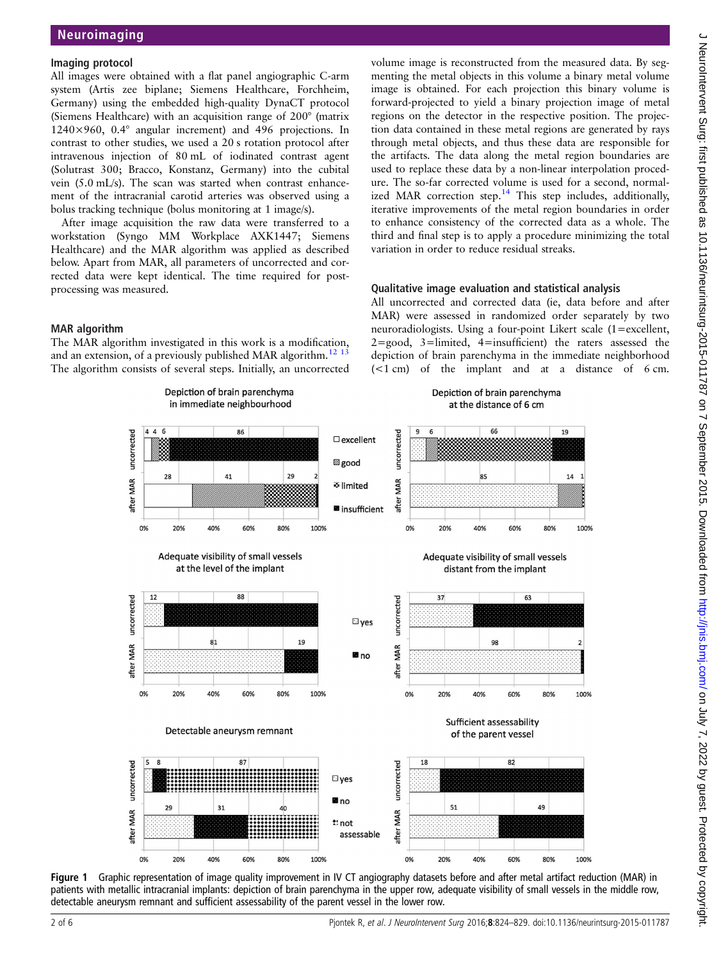## <span id="page-1-0"></span>Imaging protocol

All images were obtained with a flat panel angiographic C-arm system (Artis zee biplane; Siemens Healthcare, Forchheim, Germany) using the embedded high-quality DynaCT protocol (Siemens Healthcare) with an acquisition range of 200° (matrix 1240×960, 0.4° angular increment) and 496 projections. In contrast to other studies, we used a 20 s rotation protocol after intravenous injection of 80 mL of iodinated contrast agent (Solutrast 300; Bracco, Konstanz, Germany) into the cubital vein (5.0 mL/s). The scan was started when contrast enhancement of the intracranial carotid arteries was observed using a bolus tracking technique (bolus monitoring at 1 image/s).

After image acquisition the raw data were transferred to a workstation (Syngo MM Workplace AXK1447; Siemens Healthcare) and the MAR algorithm was applied as described below. Apart from MAR, all parameters of uncorrected and corrected data were kept identical. The time required for postprocessing was measured.

volume image is reconstructed from the measured data. By segmenting the metal objects in this volume a binary metal volume image is obtained. For each projection this binary volume is forward-projected to yield a binary projection image of metal regions on the detector in the respective position. The projection data contained in these metal regions are generated by rays through metal objects, and thus these data are responsible for the artifacts. The data along the metal region boundaries are used to replace these data by a non-linear interpolation procedure. The so-far corrected volume is used for a second, normalized MAR correction step.<sup>14</sup> This step includes, additionally, iterative improvements of the metal region boundaries in order to enhance consistency of the corrected data as a whole. The third and final step is to apply a procedure minimizing the total variation in order to reduce residual streaks.

## Qualitative image evaluation and statistical analysis

#### MAR algorithm

The MAR algorithm investigated in this work is a modification, and an extension, of a previously published MAR algorithm.<sup>[12 13](#page-5-0)</sup> The algorithm consists of several steps. Initially, an uncorrected All uncorrected and corrected data (ie, data before and after MAR) were assessed in randomized order separately by two neuroradiologists. Using a four-point Likert scale (1=excellent, 2=good, 3=limited, 4=insufficient) the raters assessed the depiction of brain parenchyma in the immediate neighborhood (<1 cm) of the implant and at a distance of 6 cm.



Figure 1 Graphic representation of image quality improvement in IV CT angiography datasets before and after metal artifact reduction (MAR) in patients with metallic intracranial implants: depiction of brain parenchyma in the upper row, adequate visibility of small vessels in the middle row, detectable aneurysm remnant and sufficient assessability of the parent vessel in the lower row.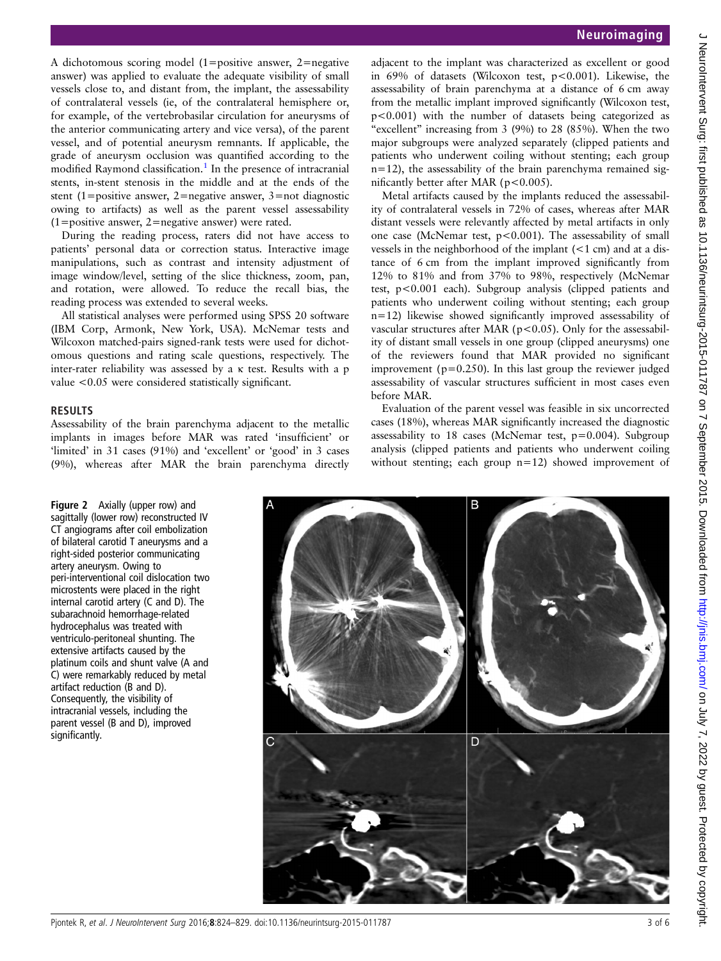<span id="page-2-0"></span>A dichotomous scoring model (1=positive answer, 2=negative answer) was applied to evaluate the adequate visibility of small vessels close to, and distant from, the implant, the assessability of contralateral vessels (ie, of the contralateral hemisphere or, for example, of the vertebrobasilar circulation for aneurysms of the anterior communicating artery and vice versa), of the parent vessel, and of potential aneurysm remnants. If applicable, the grade of aneurysm occlusion was quantified according to the modified Raymond classification.<sup>[1](#page-5-0)</sup> In the presence of intracranial stents, in-stent stenosis in the middle and at the ends of the stent (1=positive answer, 2=negative answer, 3=not diagnostic owing to artifacts) as well as the parent vessel assessability (1=positive answer, 2=negative answer) were rated.

During the reading process, raters did not have access to patients' personal data or correction status. Interactive image manipulations, such as contrast and intensity adjustment of image window/level, setting of the slice thickness, zoom, pan, and rotation, were allowed. To reduce the recall bias, the reading process was extended to several weeks.

All statistical analyses were performed using SPSS 20 software (IBM Corp, Armonk, New York, USA). McNemar tests and Wilcoxon matched-pairs signed-rank tests were used for dichotomous questions and rating scale questions, respectively. The inter-rater reliability was assessed by a κ test. Results with a p value <0.05 were considered statistically significant.

#### RESULTS

Assessability of the brain parenchyma adjacent to the metallic implants in images before MAR was rated 'insufficient' or 'limited' in 31 cases (91%) and 'excellent' or 'good' in 3 cases (9%), whereas after MAR the brain parenchyma directly

adjacent to the implant was characterized as excellent or good in 69% of datasets (Wilcoxon test, p<0.001). Likewise, the assessability of brain parenchyma at a distance of 6 cm away from the metallic implant improved significantly (Wilcoxon test, p<0.001) with the number of datasets being categorized as "excellent" increasing from 3 (9%) to 28 (85%). When the two major subgroups were analyzed separately (clipped patients and patients who underwent coiling without stenting; each group n=12), the assessability of the brain parenchyma remained significantly better after MAR (p<0.005).

Metal artifacts caused by the implants reduced the assessability of contralateral vessels in 72% of cases, whereas after MAR distant vessels were relevantly affected by metal artifacts in only one case (McNemar test,  $p < 0.001$ ). The assessability of small vessels in the neighborhood of the implant (<1 cm) and at a distance of 6 cm from the implant improved significantly from 12% to 81% and from 37% to 98%, respectively (McNemar test, p<0.001 each). Subgroup analysis (clipped patients and patients who underwent coiling without stenting; each group n=12) likewise showed significantly improved assessability of vascular structures after MAR ( $p$ <0.05). Only for the assessability of distant small vessels in one group (clipped aneurysms) one of the reviewers found that MAR provided no significant improvement ( $p=0.250$ ). In this last group the reviewer judged assessability of vascular structures sufficient in most cases even before MAR.

Evaluation of the parent vessel was feasible in six uncorrected cases (18%), whereas MAR significantly increased the diagnostic assessability to 18 cases (McNemar test, p=0.004). Subgroup analysis (clipped patients and patients who underwent coiling without stenting; each group n=12) showed improvement of

Figure 2 Axially (upper row) and sagittally (lower row) reconstructed IV CT angiograms after coil embolization of bilateral carotid T aneurysms and a right-sided posterior communicating artery aneurysm. Owing to peri-interventional coil dislocation two microstents were placed in the right internal carotid artery (C and D). The subarachnoid hemorrhage-related hydrocephalus was treated with ventriculo-peritoneal shunting. The extensive artifacts caused by the platinum coils and shunt valve (A and C) were remarkably reduced by metal artifact reduction (B and D). Consequently, the visibility of intracranial vessels, including the parent vessel (B and D), improved significantly.

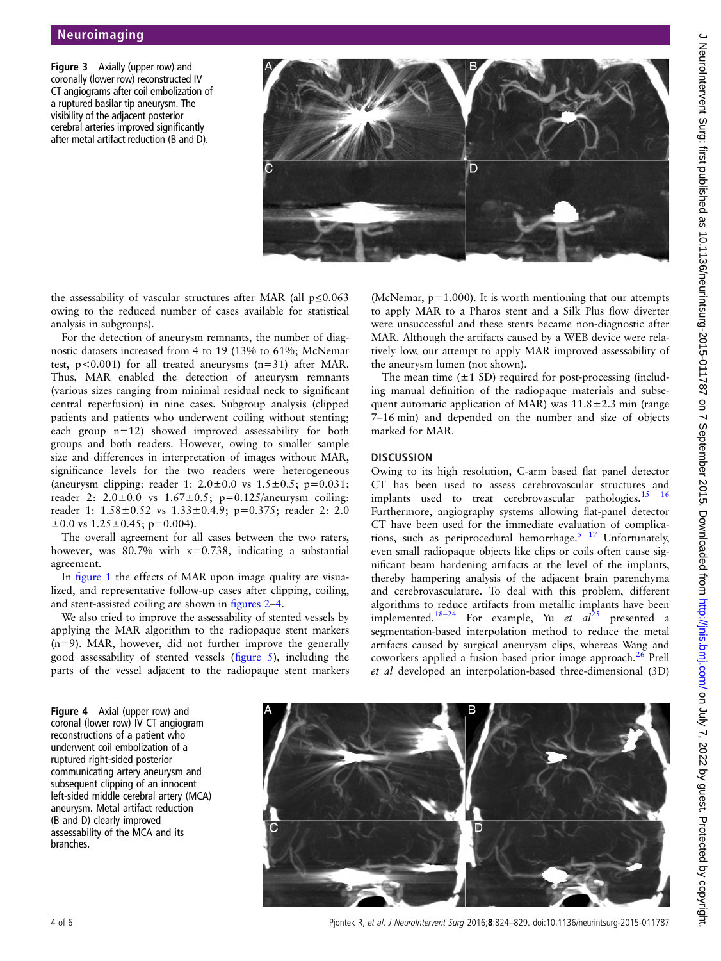Figure 3 Axially (upper row) and coronally (lower row) reconstructed IV CT angiograms after coil embolization of a ruptured basilar tip aneurysm. The visibility of the adjacent posterior cerebral arteries improved significantly after metal artifact reduction (B and D).



the assessability of vascular structures after MAR (all p≤0.063 owing to the reduced number of cases available for statistical analysis in subgroups).

For the detection of aneurysm remnants, the number of diagnostic datasets increased from 4 to 19 (13% to 61%; McNemar test,  $p < 0.001$ ) for all treated aneurysms  $(n=31)$  after MAR. Thus, MAR enabled the detection of aneurysm remnants (various sizes ranging from minimal residual neck to significant central reperfusion) in nine cases. Subgroup analysis (clipped patients and patients who underwent coiling without stenting; each group n=12) showed improved assessability for both groups and both readers. However, owing to smaller sample size and differences in interpretation of images without MAR, significance levels for the two readers were heterogeneous (aneurysm clipping: reader 1:  $2.0 \pm 0.0$  vs  $1.5 \pm 0.5$ ; p=0.031; reader 2:  $2.0 \pm 0.0$  vs  $1.67 \pm 0.5$ ; p=0.125/aneurysm coiling: reader 1: 1.58±0.52 vs 1.33±0.4.9; p=0.375; reader 2: 2.0  $\pm 0.0$  vs  $1.25 \pm 0.45$ ; p=0.004).

The overall agreement for all cases between the two raters, however, was 80.7% with  $\kappa$ =0.738, indicating a substantial agreement.

In fi[gure 1](#page-1-0) the effects of MAR upon image quality are visualized, and representative follow-up cases after clipping, coiling, and stent-assisted coiling are shown in fi[gures 2](#page-2-0)–4.

We also tried to improve the assessability of stented vessels by applying the MAR algorithm to the radiopaque stent markers  $(n=9)$ . MAR, however, did not further improve the generally good assessability of stented vessels (fi[gure 5\)](#page-4-0), including the parts of the vessel adjacent to the radiopaque stent markers

(McNemar,  $p=1.000$ ). It is worth mentioning that our attempts to apply MAR to a Pharos stent and a Silk Plus flow diverter were unsuccessful and these stents became non-diagnostic after MAR. Although the artifacts caused by a WEB device were relatively low, our attempt to apply MAR improved assessability of the aneurysm lumen (not shown).

The mean time  $(\pm 1 \text{ SD})$  required for post-processing (including manual definition of the radiopaque materials and subsequent automatic application of MAR) was  $11.8 \pm 2.3$  min (range 7–16 min) and depended on the number and size of objects marked for MAR.

#### **DISCUSSION**

Owing to its high resolution, C-arm based flat panel detector CT has been used to assess cerebrovascular structures and implants used to treat cerebrovascular pathologies. $15 \t 16$ Furthermore, angiography systems allowing flat-panel detector CT have been used for the immediate evaluation of complications, such as periprocedural hemorrhage.<sup>5 17</sup> Unfortunately, even small radiopaque objects like clips or coils often cause significant beam hardening artifacts at the level of the implants, thereby hampering analysis of the adjacent brain parenchyma and cerebrovasculature. To deal with this problem, different algorithms to reduce artifacts from metallic implants have been implemented.<sup>[18](#page-5-0)–24</sup> For example, Yu *et al*<sup>[25](#page-5-0)</sup> presented a segmentation-based interpolation method to reduce the metal artifacts caused by surgical aneurysm clips, whereas Wang and coworkers applied a fusion based prior image approach.<sup>[26](#page-5-0)</sup> Prell et al developed an interpolation-based three-dimensional (3D)

Figure 4 Axial (upper row) and coronal (lower row) IV CT angiogram reconstructions of a patient who underwent coil embolization of a ruptured right-sided posterior communicating artery aneurysm and subsequent clipping of an innocent left-sided middle cerebral artery (MCA) aneurysm. Metal artifact reduction (B and D) clearly improved assessability of the MCA and its branches.



4 of 6 Pjontek R, et al. J NeuroIntervent Surg 2016;8:824–829. doi:10.1136/neurintsurg-2015-011787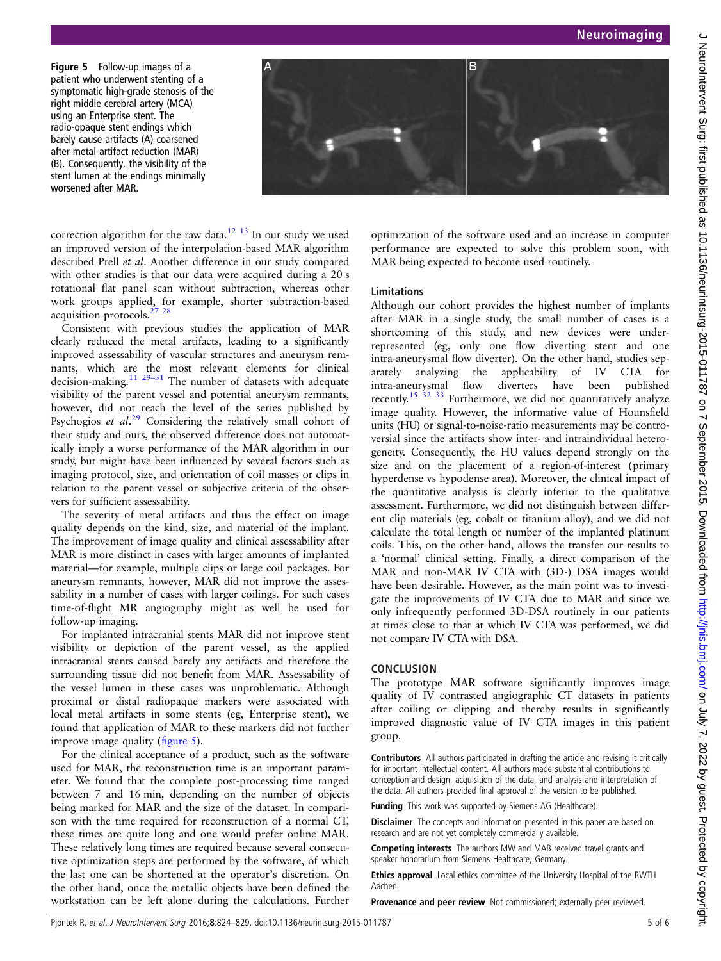<span id="page-4-0"></span>Figure 5 Follow-up images of a patient who underwent stenting of a symptomatic high-grade stenosis of the right middle cerebral artery (MCA) using an Enterprise stent. The radio-opaque stent endings which barely cause artifacts (A) coarsened after metal artifact reduction (MAR) (B). Consequently, the visibility of the stent lumen at the endings minimally worsened after MAR.



correction algorithm for the raw data.<sup>[12 13](#page-5-0)</sup> In our study we used an improved version of the interpolation-based MAR algorithm described Prell et al. Another difference in our study compared with other studies is that our data were acquired during a 20 s rotational flat panel scan without subtraction, whereas other work groups applied, for example, shorter subtraction-based acquisition protocols.[27 28](#page-5-0)

Consistent with previous studies the application of MAR clearly reduced the metal artifacts, leading to a significantly improved assessability of vascular structures and aneurysm remnants, which are the most relevant elements for clinical decision-making.<sup>[11 29](#page-5-0)–31</sup> The number of datasets with adequate visibility of the parent vessel and potential aneurysm remnants, however, did not reach the level of the series published by Psychogios et  $al.^{29}$  $al.^{29}$  $al.^{29}$  Considering the relatively small cohort of their study and ours, the observed difference does not automatically imply a worse performance of the MAR algorithm in our study, but might have been influenced by several factors such as imaging protocol, size, and orientation of coil masses or clips in relation to the parent vessel or subjective criteria of the observers for sufficient assessability.

The severity of metal artifacts and thus the effect on image quality depends on the kind, size, and material of the implant. The improvement of image quality and clinical assessability after MAR is more distinct in cases with larger amounts of implanted material—for example, multiple clips or large coil packages. For aneurysm remnants, however, MAR did not improve the assessability in a number of cases with larger coilings. For such cases time-of-flight MR angiography might as well be used for follow-up imaging.

For implanted intracranial stents MAR did not improve stent visibility or depiction of the parent vessel, as the applied intracranial stents caused barely any artifacts and therefore the surrounding tissue did not benefit from MAR. Assessability of the vessel lumen in these cases was unproblematic. Although proximal or distal radiopaque markers were associated with local metal artifacts in some stents (eg, Enterprise stent), we found that application of MAR to these markers did not further improve image quality (figure 5).

For the clinical acceptance of a product, such as the software used for MAR, the reconstruction time is an important parameter. We found that the complete post-processing time ranged between 7 and 16 min, depending on the number of objects being marked for MAR and the size of the dataset. In comparison with the time required for reconstruction of a normal CT, these times are quite long and one would prefer online MAR. These relatively long times are required because several consecutive optimization steps are performed by the software, of which the last one can be shortened at the operator's discretion. On the other hand, once the metallic objects have been defined the workstation can be left alone during the calculations. Further

optimization of the software used and an increase in computer performance are expected to solve this problem soon, with MAR being expected to become used routinely.

### Limitations

Although our cohort provides the highest number of implants after MAR in a single study, the small number of cases is a shortcoming of this study, and new devices were underrepresented (eg, only one flow diverting stent and one intra-aneurysmal flow diverter). On the other hand, studies separately analyzing the applicability of IV CTA for intra-aneurysmal flow diverters have been published recently.<sup>[15 32 33](#page-5-0)</sup> Furthermore, we did not quantitatively analyze image quality. However, the informative value of Hounsfield units (HU) or signal-to-noise-ratio measurements may be controversial since the artifacts show inter- and intraindividual heterogeneity. Consequently, the HU values depend strongly on the size and on the placement of a region-of-interest (primary hyperdense vs hypodense area). Moreover, the clinical impact of the quantitative analysis is clearly inferior to the qualitative assessment. Furthermore, we did not distinguish between different clip materials (eg, cobalt or titanium alloy), and we did not calculate the total length or number of the implanted platinum coils. This, on the other hand, allows the transfer our results to a 'normal' clinical setting. Finally, a direct comparison of the MAR and non-MAR IV CTA with (3D-) DSA images would have been desirable. However, as the main point was to investigate the improvements of IV CTA due to MAR and since we only infrequently performed 3D-DSA routinely in our patients at times close to that at which IV CTA was performed, we did not compare IV CTA with DSA.

#### **CONCLUSION**

The prototype MAR software significantly improves image quality of IV contrasted angiographic CT datasets in patients after coiling or clipping and thereby results in significantly improved diagnostic value of IV CTA images in this patient group.

Contributors All authors participated in drafting the article and revising it critically for important intellectual content. All authors made substantial contributions to conception and design, acquisition of the data, and analysis and interpretation of the data. All authors provided final approval of the version to be published.

Funding This work was supported by Siemens AG (Healthcare).

**Disclaimer** The concepts and information presented in this paper are based on research and are not yet completely commercially available.

Competing interests The authors MW and MAB received travel grants and speaker honorarium from Siemens Healthcare, Germany.

Ethics approval Local ethics committee of the University Hospital of the RWTH Aachen.

**Provenance and peer review** Not commissioned; externally peer reviewed.